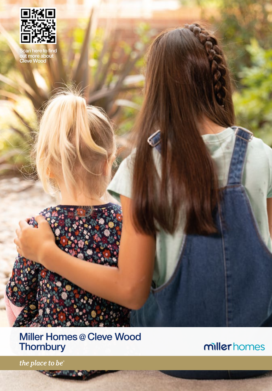

Scan here to find out more about Cleve Wood

# Miller Homes @ Cleve Wood **Thornbury**

**SAUDITE** 

millerhomes

the place to be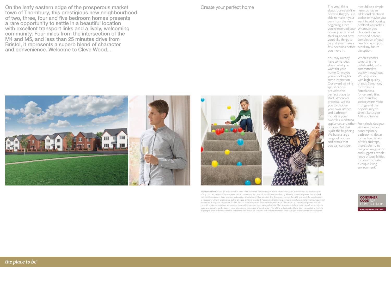On the leafy eastern edge of the prosperous market town of Thornbury, this prestigious new neighbourhood of two, three, four and five bedroom homes presents a rare opportunity to settle in a beautiful location with excellent transport links and a lively, welcoming community. Four miles from the intersection of the M4 and M5, and less than 25 minutes drive from Bristol, it represents a superb blend of character and convenience. Welcome to Cleve Wood...

Create your perfect home

Important Notice: Although every care has been taken to ensure the accuracy of all the information given, the contents do not form part of any contract, or constitute a representation or warranty, and, as such, should be treated as a guide only. Interested parties should check with the Development Sales Manager and confirm all details with their solicitor. The developer reserves the right to amend the specification, as necessary, without prior notice, but to an equal or higher standard. Please note that items specified in literature and showhomes may depict appliances, fittings and decorative finishes that do not form part of the standard specification. The project is a new development which is currently under construction. Measurements provided have not been surveyed on-site. The measurements have been taken from architect's plans, and, as such, may be subject to variation during the course of construction. Not all the units described have been completed at the time of going to print and measurements and dimensions should be checked with the Development Sales Manager and confirmed with solicitors.

The great thing about buying a Miller item such as an home is that you are additional electrical able to make it your socket or maybe you own from the very want to add flooring beginning. Once you've reserved your Whatever you home, you can start choose it can be thinking about how provided before you'd like things to completion of your be and even make a new home, so you few decisions before avoid any future you move in. It could be a simple or fitted wardrobes. disruption.

You may already have some ideas about what you home. Or maybe When it comes to getting the details right, we're committed to quality throughout. We only work with high-quality brands, Symphony for kitchens, Porcelanosa for ceramic tiles, Ideal Standard sanitaryware, Vado fittings and the opportunity to select Zanussi or AEG appliances.

> kitchens to cool, contemporary bathrooms, down to the fine details of tiles and taps, there's plenty to fire your imagination and suggest a whole range of possibilities for you to create a unique living

> > environment.

you're looking for some inspiration. Our award winning specification provides the perfect place to start. Wherever practical, we ask you to choose your own kitchen and bathroom including your own tiles, worktops, appliances and other From sleek, designer options. But that is just the beginning. We have a large range of options and extras that you can consider.

want for your

**CONSUMER CODE FO IOME BUILDER** 

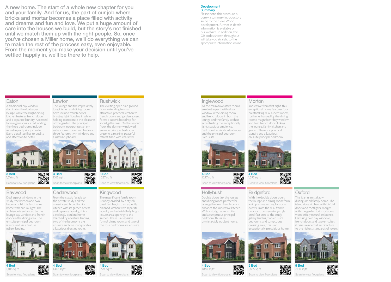A new home. The start of a whole new chapter for you and your family. And for us, the part of our job where bricks and mortar becomes a place filled with activity and dreams and fun and love. We put a huge amount of care into the houses we build, but the story's not finished until we match them up with the right people. So, once you've chosen a Miller home, we'll do everything we can to make the rest of the process easy, even enjoyable. From the moment you make your decision until you've settled happily in, we'll be there to help.

Lawton

a useful cupboard.

3 Bed 1,102 sq ft

The lounge and the impressively long kitchen and dining room both include french doors, bringing light flooding in while helping to maximise the pleasures of the garden. The principal bedroom incorporates an ensuite shower room, and bedroom three features twin windows and

#### Development **Summary**

Please note, this brochure is purely a summary introductory guide to the Cleve Wood development. Further in-depth information is available on our website. In addition, the QR codes shown throughout will take you straight to the appropriate information online.

### Eaton

A traditional bay window dominates the dual aspect lounge, while the bright dining kitchen features french doors and a separate laundry. Accessed from a generously sized landing, the three bedrooms include a dual aspect principal suite. Every detail testifies to quality and attention to detail.



Scan to view floorplans

# Baywood

Dual aspect windows in the study, the kitchen and two bedrooms fill this fascinating home with natural light. The ambience is enhanced by the lounge bay window and french doors in the dining area. The en-suite principal bedroom is accessed via a feature gallery landing.



1,408 sq ft

Scan to view floorplans



# Cedarwood

From the classic façade to the private study and the magnificent, broad family kitchen with its garden access and separate laundry, this is a strikingly opulent home. Reached by a feature landing, two of the bedrooms are en-suite and one incorporates







Scan to view floorplans Kingwood

> The magnificent family room is subtly divided, by a stylish breakfast bar, into an expertly planned kitchen with separate laundry and a delightfully bright leisure area opening to the garden. There is a separate formal dining room, and two of the four bedrooms are en-suite.

3 Bed 1,287 sq ft

П

Rushwick

The exciting open plan ground floor, extending from an attractive, practical kitchen to french doors and garden access, forms a superb backdrop for social gatherings. On the second floor, the dormer-windowed en-suite principal bedroom presents a relaxing, peaceful retreat filled with character.



醿 Scan to view floorplans

回線回

▓

# Inglewood

All the main downstairs rooms are dual aspect, with a bay window in the dining room and french doors in both the lounge and the family kitchen accentuating the exceptionally light, spacious ambience. Bedroom two is also dual aspect, and the principal bedroom is en-suite.



4 Bed 回怒回 1,297 sq ft Scan to view floorplans

## **Hollybush**

Double doors link the lounge and dining room, perfect for large gatherings. French doors enhance the impressive kitchen. With a study, two en-suites and a sumptuous principal bedroom, this is an unmistakably opulent home.



#### 4 Bed 1,860 sq ft Scan to view floorplans



distinguished family home. The island style kitchen, with bi-fold doors and rooflights, merges with the garden to introduce a wonderfully natural ambience. Featuring twin bay windows, french doors and two en-suites, it raises residential architecture to the highest standards of luxury.



5 Bed 2,130 sq ft Scan to view floorplans



回放回

回线回

酪

離機 1,297 sq ft Scan to view floorplans **Bridgeford** 

> 5 Bed 1,885 sq ft

Scan to view floorplan

4 Bed

**Morton** 

Impressive from first sight, this exceptional home features four breathtaking dual aspect rooms, further enhanced by the dining room's magnificent bay window and twin french doors linking the lounge, family kitchen and garden. There is a practical laundry and a luxurious en-suite principal bedroom.

With the double doors open. the lounge and dining room form an impressive setting for social events. From the dual french doors and conservatory-style breakfast area to the study, gallery landing, two en-suite bedrooms and sumptuous **Oxford** This is an unmistakably

回然回

醼

口淡口

釅

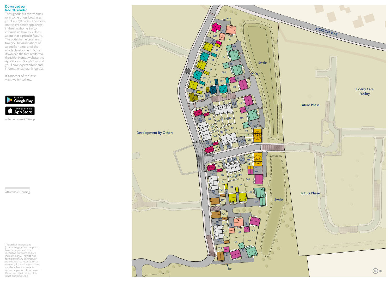#### Download our free QR reader

Throughout our showhomes, or in some of our brochures, you'll see QR codes. The codes on stickers beside appliances in the showhome link to informative 'how to' videos about that particular feature. The codes in the brochures take you to visualisations of a specific home, or of the whole development. So just download the free reader via the Miller Homes website, the App Store or Google Play, and you'll have expert advice and information at your fingertips.

It's another of the little ways we try to help.



millerhomes.co.uk/QRapp

Affordable Housing

**Contract** 

The artist's impressions (computer-generated graphics) have been prepared for illustrative purposes and are indicative only. They do not form part of any contract, or constitute a representation or warranty. External appearance may be subject to variation upon completion of the project. Please note that the siteplan is not drawn to scale.